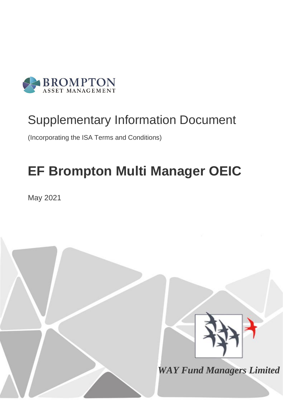

# Supplementary Information Document

(Incorporating the ISA Terms and Conditions)

# **EF Brompton Multi Manager OEIC**

May 2021

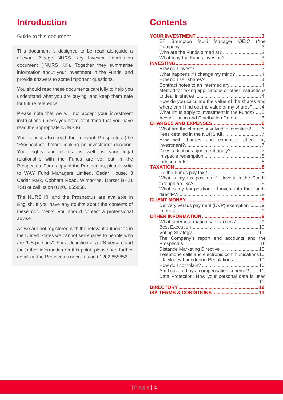# **Introduction**

Guide to this document

This document is designed to be read alongside a relevant 2-page NURS Key Investor Information document ("NURS Kii"). Together they summarise information about your investment in the Funds, and provide answers to some important questions.

You should read these documents carefully to help you understand what you are buying, and keep them safe for future reference.

Please note that we will not accept your investment instructions unless you have confirmed that you have read the appropriate NURS Kii.

You should also read the relevant Prospectus (the "Prospectus") before making an investment decision. Your rights and duties as well as your legal relationship with the Funds are set out in the Prospectus. For a copy of the Prospectus, please write to WAY Fund Managers Limited, Cedar House, 3 Cedar Park, Cobham Road, Wimborne, Dorset BH21 7SB or call us on 01202 855856.

The NURS Kii and the Prospectus are available in English. If you have any doubts about the contents of these documents, you should contact a professional adviser.

As we are not registered with the relevant authorities in the United States we cannot sell shares to people who are "US persons". For a definition of a US person, and for further information on this point, please see further details in the Prospectus or call us on 01202 855856.

# **Contents**

| Brompton Multi Manager OEIC ("the<br>EF -            |
|------------------------------------------------------|
|                                                      |
|                                                      |
|                                                      |
|                                                      |
|                                                      |
| What happens if I change my mind?  4                 |
|                                                      |
|                                                      |
| Method for faxing applications or other instructions |
| How do you calculate the value of the shares and     |
| where can I find out the value of my shares?  4      |
| What limits apply to investment in the Funds?  5     |
| Accumulation and Distribution Dates 5                |
|                                                      |
| What are the charges involved in investing?  6       |
|                                                      |
| How will charges and expenses affect my              |
|                                                      |
|                                                      |
|                                                      |
|                                                      |
|                                                      |
|                                                      |
| What is my tax position if I invest in the Funds     |
|                                                      |
| What is my tax position if I invest into the Funds   |
|                                                      |
| Delivery versus payment (DVP) exemption 9            |
|                                                      |
|                                                      |
| What other information can I access?  9              |
|                                                      |
|                                                      |
| The Company's report and accounts and the            |
|                                                      |
| Distance Marketing Directive  10                     |
| Telephone calls and electronic communications10      |
| UK Money Laundering Regulations 10                   |
|                                                      |
| Am I covered by a compensation scheme? 11            |
| Data Protection: How your personal data is used      |
| <b>DIRECTORY</b>                                     |
|                                                      |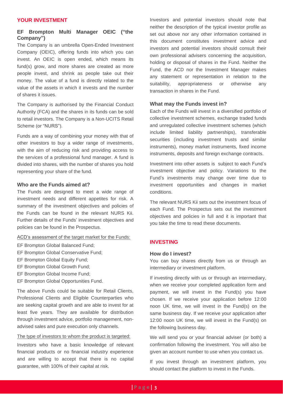#### <span id="page-2-0"></span>**YOUR INVESTMENT**

# <span id="page-2-1"></span>**EF Brompton Multi Manager OEIC ("the Company")**

The Company is an umbrella Open-Ended Investment Company (OEIC), offering funds into which you can invest. An OEIC is open ended, which means its fund(s) grow, and more shares are created as more people invest, and shrink as people take out their money. The value of a fund is directly related to the value of the assets in which it invests and the number of shares it issues.

The Company is authorised by the Financial Conduct Authority (FCA) and the shares in its funds can be sold to retail investors. The Company is a Non-UCITS Retail Scheme (or "NURS").

Funds are a way of combining your money with that of other investors to buy a wider range of investments, with the aim of reducing risk and providing access to the services of a professional fund manager. A fund is divided into shares, with the number of shares you hold representing your share of the fund.

# <span id="page-2-2"></span>**Who are the Funds aimed at?**

The Funds are designed to meet a wide range of investment needs and different appetites for risk. A summary of the investment objectives and policies of the Funds can be found in the relevant NURS Kii. Further details of the Funds' investment objectives and policies can be found in the Prospectus.

#### ACD's assessment of the target market for the Funds:

- EF Brompton Global Balanced Fund;
- EF Brompton Global Conservative Fund;
- EF Brompton Global Equity Fund;
- EF Brompton Global Growth Fund;
- EF Brompton Global Income Fund;
- EF Brompton Global Opportunities Fund.

The above Funds could be suitable for Retail Clients, Professional Clients and Eligible Counterparties who are seeking capital growth and are able to invest for at least five years. They are available for distribution through investment advice, portfolio management, nonadvised sales and pure execution only channels.

# The type of investors to whom the product is targeted:

Investors who have a basic knowledge of relevant financial products or no financial industry experience and are willing to accept that there is no capital guarantee, with 100% of their capital at risk.

Investors and potential investors should note that neither the description of the typical investor profile as set out above nor any other information contained in this document constitutes investment advice and investors and potential investors should consult their own professional advisers concerning the acquisition, holding or disposal of shares in the Fund. Neither the Fund, the ACD nor the Investment Manager makes any statement or representation in relation to the suitability, appropriateness or otherwise any transaction in shares in the Fund.

#### <span id="page-2-3"></span>**What may the Funds invest in?**

Each of the Funds will invest in a diversified portfolio of collective investment schemes, exchange traded funds and unregulated collective investment schemes (which include limited liability partnerships), transferable securities (including investment trusts and similar instruments), money market instruments, fixed income instruments, deposits and foreign exchange contracts.

Investment into other assets is subject to each Fund's investment objective and policy. Variations to the Fund's investments may change over time due to investment opportunities and changes in market conditions.

The relevant NURS Kii sets out the investment focus of each Fund. The Prospectus sets out the investment objectives and policies in full and it is important that you take the time to read these documents.

# <span id="page-2-4"></span>**INVESTING**

#### <span id="page-2-5"></span>**How do I invest?**

You can buy shares directly from us or through an intermediary or investment platform.

If investing directly with us or through an intermediary, when we receive your completed application form and payment, we will invest in the Fund(s) you have chosen. If we receive your application before 12:00 noon UK time, we will invest in the Fund(s) on the same business day. If we receive your application after 12:00 noon UK time, we will invest in the Fund(s) on the following business day.

We will send you or your financial adviser (or both) a confirmation following the investment. You will also be given an account number to use when you contact us.

If you invest through an investment platform, you should contact the platform to invest in the Funds.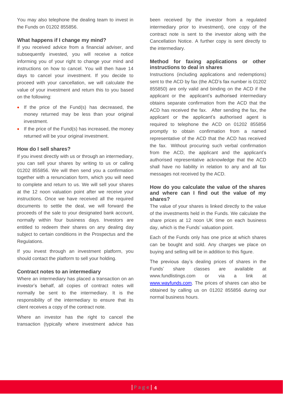You may also telephone the dealing team to invest in the Funds on 01202 855856.

# <span id="page-3-0"></span>**What happens if I change my mind?**

If you received advice from a financial adviser, and subsequently invested, you will receive a notice informing you of your right to change your mind and instructions on how to cancel. You will then have 14 days to cancel your investment. If you decide to proceed with your cancellation, we will calculate the value of your investment and return this to you based on the following:

- If the price of the Fund(s) has decreased, the money returned may be less than your original investment.
- If the price of the Fund(s) has increased, the money returned will be your original investment.

# <span id="page-3-1"></span>**How do I sell shares?**

If you invest directly with us or through an intermediary, you can sell your shares by writing to us or calling 01202 855856. We will then send you a confirmation together with a renunciation form, which you will need to complete and return to us. We will sell your shares at the 12 noon valuation point after we receive your instructions. Once we have received all the required documents to settle the deal, we will forward the proceeds of the sale to your designated bank account, normally within four business days. Investors are entitled to redeem their shares on any dealing day subject to certain conditions in the Prospectus and the Regulations.

If you invest through an investment platform, you should contact the platform to sell your holding.

# <span id="page-3-2"></span>**Contract notes to an intermediary**

Where an intermediary has placed a transaction on an investor's behalf, all copies of contract notes will normally be sent to the intermediary. It is the responsibility of the intermediary to ensure that its client receives a copy of the contract note.

Where an investor has the right to cancel the transaction (typically where investment advice has been received by the investor from a regulated intermediary prior to investment), one copy of the contract note is sent to the investor along with the Cancellation Notice. A further copy is sent directly to the intermediary.

# <span id="page-3-3"></span>**Method for faxing applications or other instructions to deal in shares**

Instructions (including applications and redemptions) sent to the ACD by fax (the ACD's fax number is 01202 855850) are only valid and binding on the ACD if the applicant or the applicant's authorised intermediary obtains separate confirmation from the ACD that the ACD has received the fax. After sending the fax, the applicant or the applicant's authorised agent is required to telephone the ACD on 01202 855856 promptly to obtain confirmation from a named representative of the ACD that the ACD has received the fax. Without procuring such verbal confirmation from the ACD, the applicant and the applicant's authorised representative acknowledge that the ACD shall have no liability in relation to any and all fax messages not received by the ACD.

# <span id="page-3-4"></span>**How do you calculate the value of the shares and where can I find out the value of my shares?**

The value of your shares is linked directly to the value of the investments held in the Funds. We calculate the share prices at 12 noon UK time on each business day, which is the Funds' valuation point.

Each of the Funds only has one price at which shares can be bought and sold. Any charges we place on buying and selling will be in addition to this figure.

The previous day's dealing prices of shares in the Funds' share classes are available at www.fundlistings.com or via a link at [www.wayfunds.com.](http://www.wayfunds.com/) The prices of shares can also be obtained by calling us on 01202 855856 during our normal business hours.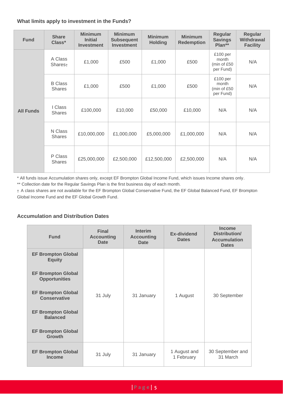# <span id="page-4-0"></span>**What limits apply to investment in the Funds?**

| <b>Fund</b>      | <b>Share</b><br>Class*          | <b>Minimum</b><br><b>Initial</b><br><b>Investment</b> | <b>Minimum</b><br><b>Subsequent</b><br><b>Investment</b> | <b>Minimum</b><br><b>Holding</b> | <b>Minimum</b><br><b>Redemption</b> | Regular<br><b>Savings</b><br>Plan**           | Regular<br><b>Withdrawal</b><br><b>Facility</b> |
|------------------|---------------------------------|-------------------------------------------------------|----------------------------------------------------------|----------------------------------|-------------------------------------|-----------------------------------------------|-------------------------------------------------|
| <b>All Funds</b> | A Class<br>Shares <sub>t</sub>  | £1,000                                                | £500                                                     | £1,000                           | £500                                | £100 per<br>month<br>(min of £50<br>per Fund) | N/A                                             |
|                  | <b>B</b> Class<br><b>Shares</b> | £1,000                                                | £500                                                     | £1,000                           | £500                                | £100 per<br>month<br>(min of £50<br>per Fund) | N/A                                             |
|                  | I Class<br><b>Shares</b>        | £100,000                                              | £10,000                                                  | £50,000                          | £10,000                             | N/A                                           | N/A                                             |
|                  | N Class<br><b>Shares</b>        | £10,000,000                                           | £1,000,000                                               | £5,000,000                       | £1,000,000                          | N/A                                           | N/A                                             |
|                  | P Class<br><b>Shares</b>        | £25,000,000                                           | £2,500,000                                               | £12,500,000                      | £2,500,000                          | N/A                                           | N/A                                             |

\* All funds issue Accumulation shares only, except EF Brompton Global Income Fund, which issues Income shares only.

\*\* Collection date for the Regular Savings Plan is the first business day of each month.

† A class shares are not available for the EF Brompton Global Conservative Fund, the EF Global Balanced Fund, EF Brompton Global Income Fund and the EF Global Growth Fund.

# <span id="page-4-1"></span>**Accumulation and Distribution Dates**

| <b>Fund</b>                                       | <b>Final</b><br><b>Accounting</b><br><b>Date</b> | <b>Interim</b><br><b>Accounting</b><br><b>Date</b> | Ex-dividend<br><b>Dates</b> | <b>Income</b><br>Distribution/<br><b>Accumulation</b><br><b>Dates</b> |
|---------------------------------------------------|--------------------------------------------------|----------------------------------------------------|-----------------------------|-----------------------------------------------------------------------|
| <b>EF Brompton Global</b><br><b>Equity</b>        |                                                  |                                                    |                             |                                                                       |
| <b>EF Brompton Global</b><br><b>Opportunities</b> |                                                  |                                                    |                             |                                                                       |
| <b>EF Brompton Global</b><br><b>Conservative</b>  | 31 July                                          | 31 January                                         | 1 August                    | 30 September                                                          |
| <b>EF Brompton Global</b><br><b>Balanced</b>      |                                                  |                                                    |                             |                                                                       |
| <b>EF Brompton Global</b><br><b>Growth</b>        |                                                  |                                                    |                             |                                                                       |
| <b>EF Brompton Global</b><br><b>Income</b>        | 31 July                                          | 31 January                                         | 1 August and<br>1 February  | 30 September and<br>31 March                                          |

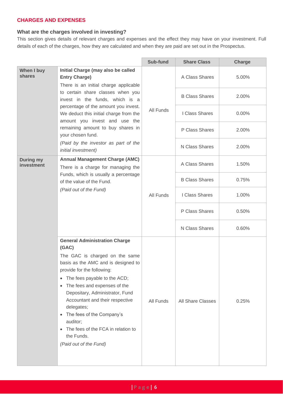# <span id="page-5-0"></span>**CHARGES AND EXPENSES**

# <span id="page-5-1"></span>**What are the charges involved in investing?**

This section gives details of relevant charges and expenses and the effect they may have on your investment. Full details of each of the charges, how they are calculated and when they are paid are set out in the Prospectus.

|                                |                                                                                                                                                                                                                                                                                                                                                                                                                                                                             | Sub-fund  | <b>Share Class</b>    | Charge   |
|--------------------------------|-----------------------------------------------------------------------------------------------------------------------------------------------------------------------------------------------------------------------------------------------------------------------------------------------------------------------------------------------------------------------------------------------------------------------------------------------------------------------------|-----------|-----------------------|----------|
| When I buy<br>shares           | Initial Charge (may also be called<br><b>Entry Charge)</b><br>There is an initial charge applicable<br>to certain share classes when you<br>invest in the funds, which is a<br>percentage of the amount you invest.<br>We deduct this initial charge from the<br>amount you invest and use the<br>remaining amount to buy shares in<br>your chosen fund.<br>(Paid by the investor as part of the<br>initial investment)                                                     | All Funds | A Class Shares        | 5.00%    |
|                                |                                                                                                                                                                                                                                                                                                                                                                                                                                                                             |           | <b>B Class Shares</b> | 2.00%    |
|                                |                                                                                                                                                                                                                                                                                                                                                                                                                                                                             |           | I Class Shares        | $0.00\%$ |
|                                |                                                                                                                                                                                                                                                                                                                                                                                                                                                                             |           | P Class Shares        | 2.00%    |
|                                |                                                                                                                                                                                                                                                                                                                                                                                                                                                                             |           | N Class Shares        | 2.00%    |
| <b>During my</b><br>investment | <b>Annual Management Charge (AMC)</b><br>There is a charge for managing the<br>Funds, which is usually a percentage<br>of the value of the Fund.<br>(Paid out of the Fund)                                                                                                                                                                                                                                                                                                  |           | A Class Shares        | 1.50%    |
|                                |                                                                                                                                                                                                                                                                                                                                                                                                                                                                             |           | <b>B Class Shares</b> | 0.75%    |
|                                |                                                                                                                                                                                                                                                                                                                                                                                                                                                                             | All Funds | I Class Shares        | 1.00%    |
|                                |                                                                                                                                                                                                                                                                                                                                                                                                                                                                             |           | P Class Shares        | 0.50%    |
|                                |                                                                                                                                                                                                                                                                                                                                                                                                                                                                             |           | N Class Shares        | 0.60%    |
|                                | <b>General Administration Charge</b><br>(GAC)<br>The GAC is charged on the same<br>basis as the AMC and is designed to<br>provide for the following:<br>The fees payable to the ACD;<br>$\bullet$<br>The fees and expenses of the<br>٠<br>Depositary, Administrator, Fund<br>Accountant and their respective<br>delegates;<br>The fees of the Company's<br>$\bullet$<br>auditor;<br>The fees of the FCA in relation to<br>$\bullet$<br>the Funds.<br>(Paid out of the Fund) | All Funds | All Share Classes     | 0.25%    |

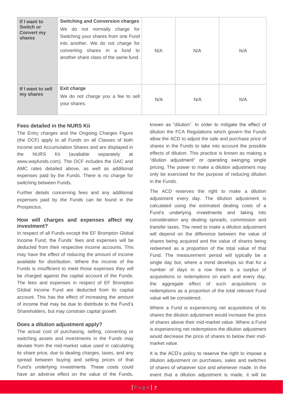| If I want to<br><b>Switch or</b><br><b>Convert my</b><br>shares | <b>Switching and Conversion charges</b><br>We do not normally charge for<br>Switching your shares from one Fund<br>into another. We do not charge for<br>converting shares in a fund to<br>another share class of the same fund. | N/A | N/A | N/A |
|-----------------------------------------------------------------|----------------------------------------------------------------------------------------------------------------------------------------------------------------------------------------------------------------------------------|-----|-----|-----|
| If I want to sell<br>my shares                                  | <b>Exit charge</b><br>We do not charge you a fee to sell<br>your shares.                                                                                                                                                         | N/A | N/A | N/A |

# <span id="page-6-0"></span>**Fees detailed in the NURS Kii**

The Entry charges and the Ongoing Charges Figure (the OCF) apply to all Funds on all Classes of both Income and Accumulation Shares and are displayed in the NURS Kii (available separately at www.wayfunds.com). The OCF includes the GAC and AMC rates detailed above, as well as additional expenses paid by the Funds. There is no charge for switching between Funds.

Further details concerning fees and any additional expenses paid by the Funds can be found in the Prospectus.

# <span id="page-6-1"></span>**How will charges and expenses affect my investment?**

In respect of all Funds except the EF Brompton Global Income Fund, the Funds' fees and expenses will be deducted from their respective income accounts. This may have the effect of reducing the amount of income available for distribution. Where the income of the Funds is insufficient to meet those expenses they will be charged against the capital account of the Funds. The fees and expenses in respect of EF Brompton Global Income Fund are deducted from its capital account. This has the effect of increasing the amount of income that may be due to distribute to the Fund's Shareholders, but may constrain capital growth.

# <span id="page-6-2"></span>**Does a dilution adjustment apply?**

The actual cost of purchasing, selling, converting or switching assets and investments in the Funds may deviate from the mid-market value used in calculating its share price, due to dealing charges, taxes, and any spread between buying and selling prices of that Fund's underlying investments. These costs could have an adverse effect on the value of the Funds, known as "dilution". In order to mitigate the effect of dilution the FCA Regulations which govern the Funds allow the ACD to adjust the sale and purchase price of shares in the Funds to take into account the possible effects of dilution. This practice is known as making a "dilution adjustment" or operating swinging single pricing. The power to make a dilution adjustment may only be exercised for the purpose of reducing dilution in the Funds.

The ACD reserves the right to make a dilution adjustment every day. The dilution adjustment is calculated using the estimated dealing costs of a Fund's underlying investments and taking into consideration any dealing spreads, commission and transfer taxes. The need to make a dilution adjustment will depend on the difference between the value of shares being acquired and the value of shares being redeemed as a proportion of the total value of that Fund. The measurement period will typically be a single day but, where a trend develops so that for a number of days in a row there is a surplus of acquisitions or redemptions on each and every day, the aggregate effect of such acquisitions or redemptions as a proportion of the total relevant Fund value will be considered.

Where a Fund is experiencing net acquisitions of its shares the dilution adjustment would increase the price of shares above their mid-market value. Where a Fund is experiencing net redemptions the dilution adjustment would decrease the price of shares to below their midmarket value.

It is the ACD's policy to reserve the right to impose a dilution adjustment on purchases, sales and switches of shares of whatever size and whenever made. In the event that a dilution adjustment is made, it will be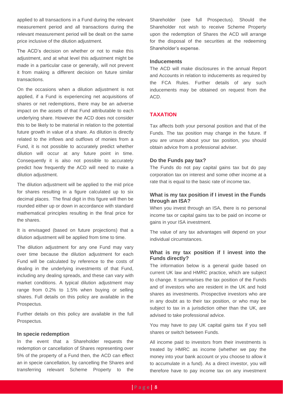applied to all transactions in a Fund during the relevant measurement period and all transactions during the relevant measurement period will be dealt on the same price inclusive of the dilution adjustment.

The ACD's decision on whether or not to make this adjustment, and at what level this adjustment might be made in a particular case or generally, will not prevent it from making a different decision on future similar transactions.

On the occasions when a dilution adjustment is not applied, if a Fund is experiencing net acquisitions of shares or net redemptions, there may be an adverse impact on the assets of that Fund attributable to each underlying share. However the ACD does not consider this to be likely to be material in relation to the potential future growth in value of a share. As dilution is directly related to the inflows and outflows of monies from a Fund, it is not possible to accurately predict whether dilution will occur at any future point in time. Consequently it is also not possible to accurately predict how frequently the ACD will need to make a dilution adjustment.

The dilution adjustment will be applied to the mid price for shares resulting in a figure calculated up to six decimal places. The final digit in this figure will then be rounded either up or down in accordance with standard mathematical principles resulting in the final price for the shares.

It is envisaged (based on future projections) that a dilution adjustment will be applied from time to time.

The dilution adjustment for any one Fund may vary over time because the dilution adjustment for each Fund will be calculated by reference to the costs of dealing in the underlying investments of that Fund, including any dealing spreads, and these can vary with market conditions. A typical dilution adjustment may range from 0.2% to 1.5% when buying or selling shares. Full details on this policy are available in the Prospectus.

Further details on this policy are available in the full Prospectus.

#### <span id="page-7-0"></span>**In specie redemption**

In the event that a Shareholder requests the redemption or cancellation of Shares representing over 5% of the property of a Fund then, the ACD can effect an in specie cancellation, by cancelling the Shares and transferring relevant Scheme Property to the Shareholder (see full Prospectus). Should the Shareholder not wish to receive Scheme Property upon the redemption of Shares the ACD will arrange for the disposal of the securities at the redeeming Shareholder's expense.

# <span id="page-7-1"></span>**Inducements**

The ACD will make disclosures in the annual Report and Accounts in relation to inducements as required by the FCA Rules. Further details of any such inducements may be obtained on request from the ACD.

# <span id="page-7-2"></span>**TAXATION**

Tax affects both your personal position and that of the Funds. The tax position may change in the future. If you are unsure about your tax position, you should obtain advice from a professional adviser.

#### <span id="page-7-3"></span>**Do the Funds pay tax?**

The Funds do not pay capital gains tax but do pay corporation tax on interest and some other income at a rate that is equal to the basic rate of income tax.

# <span id="page-7-4"></span>**What is my tax position if I invest in the Funds through an ISA?**

When you invest through an ISA, there is no personal income tax or capital gains tax to be paid on income or gains in your ISA investment.

The value of any tax advantages will depend on your individual circumstances.

# <span id="page-7-5"></span>**What is my tax position if I invest into the Funds directly?**

The information below is a general guide based on current UK law and HMRC practice, which are subject to change. It summarises the tax position of the Funds and of investors who are resident in the UK and hold shares as investments. Prospective investors who are in any doubt as to their tax position, or who may be subject to tax in a jurisdiction other than the UK, are advised to take professional advice.

You may have to pay UK capital gains tax if you sell shares or switch between Funds.

All income paid to investors from their investments is treated by HMRC as income (whether we pay the money into your bank account or you choose to allow it to accumulate in a fund). As a direct investor, you will therefore have to pay income tax on any investment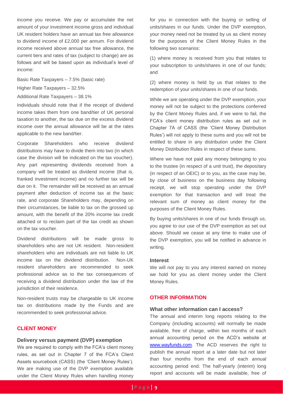income you receive. We pay or accumulate the net amount of your investment income gross and individual UK resident holders have an annual tax free allowance to dividend income of £2,000 per annum. For dividend income received above annual tax free allowance, the current tiers and rates of tax (subject to change) are as follows and will be based upon as individual's level of income:

Basic Rate Taxpayers – 7.5% (basic rate)

Higher Rate Taxpayers – 32.5%

Additional Rate Taxpayers – 38.1%

Individuals should note that if the receipt of dividend income takes them from one band/tier of UK personal taxation to another, the tax due on the excess dividend income over the annual allowance will be at the rates applicable to the new band/tier.

Corporate Shareholders who receive dividend distributions may have to divide them into two (in which case the division will be indicated on the tax voucher). Any part representing dividends received from a company will be treated as dividend income (that is, franked investment income) and no further tax will be due on it. The remainder will be received as an annual payment after deduction of income tax at the basic rate, and corporate Shareholders may, depending on their circumstances, be liable to tax on the grossed up amount, with the benefit of the 20% income tax credit attached or to reclaim part of the tax credit as shown on the tax voucher.

Dividend distributions will be made gross to shareholders who are not UK resident. Non-resident shareholders who are individuals are not liable to UK income tax on the dividend distribution. Non-UK resident shareholders are recommended to seek professional advice as to the tax consequences of receiving a dividend distribution under the law of the jurisdiction of their residence.

Non-resident trusts may be chargeable to UK income tax on distributions made by the Funds and are recommended to seek professional advice.

# <span id="page-8-0"></span>**CLIENT MONEY**

# <span id="page-8-1"></span>**Delivery versus payment (DVP) exemption**

We are required to comply with the FCA's client money rules, as set out in Chapter 7 of the FCA's Client Assets sourcebook (CASS) (the 'Client Money Rules'). We are making use of the DVP exemption available under the Client Money Rules when handling money

for you in connection with the buying or selling of units/shares in our funds. Under the DVP exemption, your money need not be treated by us as client money for the purposes of the Client Money Rules in the following two scenarios:

(1) where money is received from you that relates to your subscription to units/shares in one of our funds; and

(2) where money is held by us that relates to the redemption of your units/shares in one of our funds.

While we are operating under the DVP exemption, your money will not be subject to the protections conferred by the Client Money Rules and, if we were to fail, the FCA's client money distribution rules as set out in Chapter 7A of CASS (the 'Client Money Distribution Rules') will not apply to these sums and you will not be entitled to share in any distribution under the Client Money Distribution Rules in respect of these sums.

Where we have not paid any money belonging to you to the trustee (in respect of a unit trust), the depositary (in respect of an OEIC) or to you, as the case may be, by close of business on the business day following receipt, we will stop operating under the DVP exemption for that transaction and will treat the relevant sum of money as client money for the purposes of the Client Money Rules.

By buying units/shares in one of our funds through us, you agree to our use of the DVP exemption as set out above. Should we cease at any time to make use of the DVP exemption, you will be notified in advance in writing.

# <span id="page-8-2"></span>**Interest**

We will not pay to you any interest earned on money we hold for you as client money under the Client Money Rules.

# <span id="page-8-3"></span>**OTHER INFORMATION**

# <span id="page-8-4"></span>**What other information can I access?**

The annual and interim long reports relating to the Company (including accounts) will normally be made available, free of charge, within two months of each annual accounting period on the ACD's website at [www.wayfunds.com.](http://www.wayfunds.com/) The ACD reserves the right to publish the annual report at a later date but not later than four months from the end of each annual accounting period end. The half-yearly (interim) long report and accounts will be made available, free of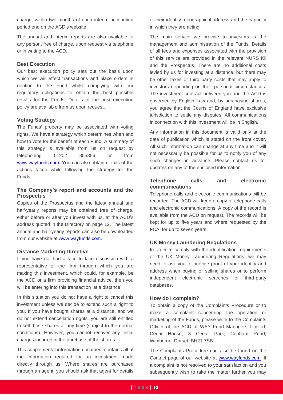charge, within two months of each interim accounting period end on the ACD's website.

The annual and interim reports are also available to any person, free of charge, upon request via telephone or in writing to the ACD.

#### <span id="page-9-0"></span>**Best Execution**

Our best execution policy sets out the basis upon which we will effect transactions and place orders in relation to the Fund whilst complying with our regulatory obligations to obtain the best possible results for the Funds. Details of the best execution policy are available from us upon request.

# <span id="page-9-1"></span>**Voting Strategy**

The Funds' property may be associated with voting rights. We have a strategy which determines when and how to vote for the benefit of each Fund. A summary of this strategy is available from us on request by telephoning 01202 855856 or from [www.wayfunds.com.](http://www.wayfunds.com/) You can also obtain details of the actions taken while following the strategy for the Funds.

# <span id="page-9-2"></span>**The Company's report and accounts and the Prospectus**

Copies of the Prospectus and the latest annual and half-yearly reports may be obtained free of charge, either before or after you invest with us, at the ACD's address quoted in the Directory on page [12.](#page-11-0) The latest annual and half-yearly reports can also be downloaded from our website at [www.wayfunds.com.](http://www.wayfunds.com/)

#### <span id="page-9-3"></span>**Distance Marketing Directive**

If you have not had a face to face discussion with a representative of the firm through which you are making this investment, which could, for example, be the ACD or a firm providing financial advice, then you will be entering into this transaction 'at a distance'.

In this situation you do not have a right to cancel this investment unless we decide to extend such a right to you. If you have bought shares at a distance, and we do not extend cancellation rights, you are still entitled to sell those shares at any time (subject to the normal conditions). However, you cannot recover any initial charges incurred in the purchase of the shares.

This supplemental information document contains all of the information required for an investment made directly through us. Where shares are purchased through an agent, you should ask that agent for details of their identity, geographical address and the capacity in which they are acting.

The main service we provide to investors is the management and administration of the Funds. Details of all fees and expenses associated with the provision of this service are provided in the relevant NURS Kii and the Prospectus. There are no additional costs levied by us for investing at a distance, but there may be other taxes or third party costs that may apply to investors depending on their personal circumstances. The investment contract between you and the ACD is governed by English Law and, by purchasing shares, you agree that the Courts of England have exclusive jurisdiction to settle any disputes. All communications in connection with this investment will be in English.

Any information in this document is valid only at the date of publication which is stated on the front cover. All such information can change at any time and it will not necessarily be possible for us to notify you of any such changes in advance. Please contact us for updates on any of the enclosed information.

# <span id="page-9-4"></span>**Telephone calls and electronic communications**

Telephone calls and electronic communications will be recorded. The ACD will keep a copy of telephone calls and electronic communications. A copy of the record is available from the ACD on request. The records will be kept for up to five years and where requested by the FCA, for up to seven years.

# <span id="page-9-5"></span>**UK Money Laundering Regulations**

In order to comply with the identification requirements of the UK Money Laundering Regulations, we may need to ask you to provide proof of your identity and address when buying or selling shares or to perform independent electronic searches of third-party databases.

#### <span id="page-9-6"></span>**How do I complain?**

To obtain a copy of the Complaints Procedure or to make a complaint concerning the operation or marketing of the Funds, please write to the Complaints Officer of the ACD at WAY Fund Managers Limited, Cedar House, 3 Cedar Park, Cobham Road, Wimborne, Dorset, BH21 7SB.

The Complaints Procedure can also be found on the Contact page of our website at [www.wayfunds.com.](http://www.wayfunds.com/) If a complaint is not resolved to your satisfaction and you subsequently wish to take the matter further you may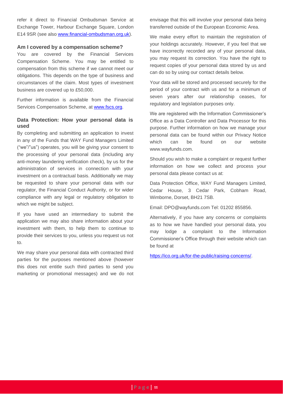refer it direct to Financial Ombudsman Service at Exchange Tower, Harbour Exchange Square, London E14 9SR (see also [www.financial-ombudsman.org.uk\)](http://www.financial-ombudsman.org.uk/).

#### <span id="page-10-0"></span>**Am I covered by a compensation scheme?**

You are covered by the Financial Services Compensation Scheme. You may be entitled to compensation from this scheme if we cannot meet our obligations. This depends on the type of business and circumstances of the claim. Most types of investment business are covered up to £50,000.

Further information is available from the Financial Services Compensation Scheme, at [www.fscs.org.](http://www.fscs.org/)

# <span id="page-10-1"></span>**Data Protection: How your personal data is used**

By completing and submitting an application to invest in any of the Funds that WAY Fund Managers Limited ("we"/"us") operates, you will be giving your consent to the processing of your personal data (including any anti-money laundering verification check), by us for the administration of services in connection with your investment on a contractual basis. Additionally we may be requested to share your personal data with our regulator, the Financial Conduct Authority, or for wider compliance with any legal or regulatory obligation to which we might be subject.

If you have used an intermediary to submit the application we may also share information about your investment with them, to help them to continue to provide their services to you, unless you request us not to.

We may share your personal data with contracted third parties for the purposes mentioned above (however this does not entitle such third parties to send you marketing or promotional messages) and we do not envisage that this will involve your personal data being transferred outside of the European Economic Area.

We make every effort to maintain the registration of your holdings accurately. However, if you feel that we have incorrectly recorded any of your personal data, you may request its correction. You have the right to request copies of your personal data stored by us and can do so by using our contact details below.

Your data will be stored and processed securely for the period of your contract with us and for a minimum of seven years after our relationship ceases, for regulatory and legislation purposes only.

We are registered with the Information Commissioner's Office as a Data Controller and Data Processor for this purpose. Further information on how we manage your personal data can be found within our Privacy Notice which can be found on our website [www.wayfunds.com.](http://www.wayfunds.com/)

Should you wish to make a complaint or request further information on how we collect and process your personal data please contact us at:

Data Protection Office, WAY Fund Managers Limited, Cedar House, 3 Cedar Park, Cobham Road, Wimborne, Dorset, BH21 7SB.

Email: [DPO@wayfunds.com](mailto:DPO@wayfunds.com) Tel: 01202 855856.

Alternatively, if you have any concerns or complaints as to how we have handled your personal data, you may lodge a complaint to the Information Commissioner's Office through their website which can be found at

[https://ico.org.uk/for-the-public/raising-concerns/.](https://ico.org.uk/for-the-public/raising-concerns/)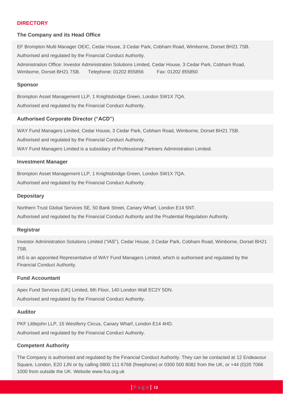# <span id="page-11-0"></span>**DIRECTORY**

#### **The Company and its Head Office**

EF Brompton Multi Manager OEIC, Cedar House, 3 Cedar Park, Cobham Road, Wimborne, Dorset BH21 7SB. Authorised and regulated by the Financial Conduct Authority. Administration Office: Investor Administration Solutions Limited, Cedar House, 3 Cedar Park, Cobham Road, Wimborne, Dorset BH21 7SB. Telephone: 01202 855856 Fax: 01202 855850

#### **Sponsor**

Brompton Asset Management LLP, 1 Knightsbridge Green, London SW1X 7QA. Authorised and regulated by the Financial Conduct Authority.

# **Authorised Corporate Director ("ACD")**

WAY Fund Managers Limited, Cedar House, 3 Cedar Park, Cobham Road, Wimborne, Dorset BH21 7SB. Authorised and regulated by the Financial Conduct Authority. WAY Fund Managers Limited is a subsidiary of Professional Partners Administration Limited.

#### **Investment Manager**

Brompton Asset Management LLP, 1 Knightsbridge Green, London SW1X 7QA. Authorised and regulated by the Financial Conduct Authority.

#### **Depositary**

Northern Trust Global Services SE, 50 Bank Street, Canary Wharf, London E14 5NT.

Authorised and regulated by the Financial Conduct Authority and the Prudential Regulation Authority.

#### **Registrar**

Investor Administration Solutions Limited ("IAS"), Cedar House, 3 Cedar Park, Cobham Road, Wimborne, Dorset BH21 7SB.

IAS is an appointed Representative of WAY Fund Managers Limited, which is authorised and regulated by the Financial Conduct Authority.

# **Fund Accountant**

Apex Fund Services (UK) Limited, 6th Floor, 140 London Wall EC2Y 5DN. Authorised and regulated by the Financial Conduct Authority.

#### **Auditor**

PKF Littlejohn LLP, 15 Westferry Circus, Canary Wharf, London E14 4HD. Authorised and regulated by the Financial Conduct Authority.

# **Competent Authority**

The Company is authorised and regulated by the Financial Conduct Authority. They can be contacted at 12 Endeavour Square, London, E20 1JN or by calling 0800 111 6768 (freephone) or 0300 500 8082 from the UK, or +44 (0)20 7066 1000 from outside the UK. Website [www.fca.org.uk](http://www.fca.org.uk/)

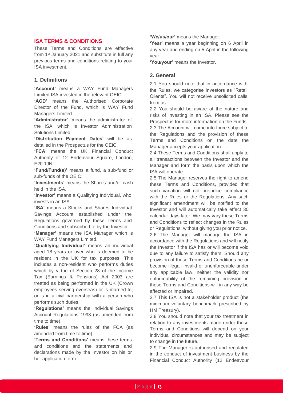# <span id="page-12-0"></span>**ISA TERMS & CONDITIONS**

These Terms and Conditions are effective from 1<sup>st</sup> January 2021 and substitute in full any previous terms and conditions relating to your ISA investment.

# **1. Definitions**

**'Account'** means a WAY Fund Managers Limited ISA invested in the relevant OEIC.

**'ACD'** means the Authorised Corporate Director of the Fund, which is WAY Fund Managers Limited.

**'Administrator'** 'means the administrator of the ISA, which is Investor Administration Solutions Limited.

**'Distribution Payment Dates'** will be as detailed in the Prospectus for the OEIC.

**'FCA'** means the UK Financial Conduct Authority of 12 Endeavour Square, London, E20 1JN.

**'Fund/Fund(s)'** means a fund, a sub-fund or sub-funds of the OEIC.

**'Investments'** means the Shares and/or cash held in the ISA.

**'Investor'** means a Qualifying Individual, who invests in an ISA.

**'ISA'** means a Stocks and Shares Individual Savings Account established under the Regulations governed by these Terms and Conditions and subscribed to by the Investor.

**'Manager'** means the ISA Manager which is WAY Fund Managers Limited.

**'Qualifying Individual'** means an individual aged 18 years or over who is deemed to be resident in the UK for tax purposes. This includes a non-resident who performs duties which by virtue of Section 28 of the Income Tax (Earnings & Pensions) Act 2003 are treated as being performed in the UK (Crown employees serving overseas) or is married to, or is in a civil partnership with a person who performs such duties.

**'Regulations'** means the Individual Savings Account Regulations 1998 (as amended from time to time).

**'Rules'** means the rules of the FCA (as amended from time to time).

**'Terms and Conditions'** means these terms and conditions and the statements and declarations made by the Investor on his or her application form.

**'We/us/our'** means the Manager.

**'Year'** means a year beginning on 6 April in any year and ending on 5 April in the following year.

**'You/your'** means the Investor.

# **2. General**

2.1 You should note that in accordance with the Rules, we categorise Investors as "Retail Clients". You will not receive unsolicited calls from us.

2.2 You should be aware of the nature and risks of investing in an ISA. Please see the Prospectus for more information on the Funds.

2.3 The Account will come into force subject to the Regulations and the provision of these Terms and Conditions on the date the Manager accepts your application.

2.4 These Terms and Conditions shall apply to all transactions between the Investor and the Manager and form the basis upon which the ISA will operate.

2.5 The Manager reserves the right to amend these Terms and Conditions, provided that such variation will not prejudice compliance with the Rules or the Regulations. Any such significant amendment will be notified to the Investor and will automatically take effect 30 calendar days later. We may vary these Terms and Conditions to reflect changes in the Rules or Regulations, without giving you prior notice.

2.6 The Manager will manage the ISA in accordance with the Regulations and will notify the Investor if the ISA has or will become void due to any failure to satisfy them. Should any provision of these Terms and Conditions be or become illegal, invalid or unenforceable under any applicable law, neither the validity nor enforceability of the remaining provision in these Terms and Conditions will in any way be affected or impaired.

2.7 This ISA is not a stakeholder product (the minimum voluntary benchmark prescribed by HM Treasury).

2.8 You should note that your tax treatment in relation to any investments made under these Terms and Conditions will depend on your individual circumstances and may be subject to change in the future.

2.9 The Manager is authorised and regulated in the conduct of investment business by the Financial Conduct Authority (12 Endeavour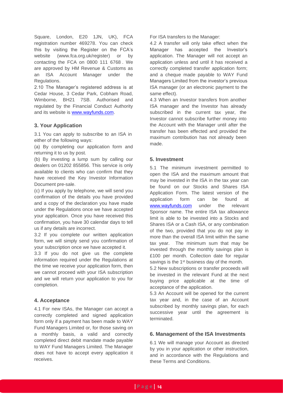Square, London, E20 1JN, UK), FCA registration number 469278. You can check this by visiting the Register on the FCA's website (www.fca.org.uk/register) or by contacting the FCA on 0800 111 6768 . We are approved by HM Revenue & Customs as an ISA Account Manager under the Regulations.

2.10 The Manager's registered address is at Cedar House, 3 Cedar Park, Cobham Road, Wimborne, BH21 7SB. Authorised and regulated by the Financial Conduct Authority and its website is [www.wayfunds.com.](http://www.wayfunds.com/)

# **3. Your Application**

3.1 You can apply to subscribe to an ISA in either of the following ways:

(a) By completing our application form and returning it to us by post.

(b) By investing a lump sum by calling our dealers on 01202 855856. This service is only available to clients who can confirm that they have received the Key Investor Information Document pre-sale.

(c) If you apply by telephone, we will send you confirmation of the details you have provided and a copy of the declaration you have made under the Regulations once we have accepted your application. Once you have received this confirmation, you have 30 calendar days to tell us if any details are incorrect.

3.2 If you complete our written application form, we will simply send you confirmation of your subscription once we have accepted it.

3.3 If you do not give us the complete information required under the Regulations at the time we receive your application form, then we cannot proceed with your ISA subscription and we will return your application to you for completion.

# **4. Acceptance**

4.1 For new ISAs, the Manager can accept a correctly completed and signed application form only if a payment has been made to WAY Fund Managers Limited or, for those saving on a monthly basis, a valid and correctly completed direct debit mandate made payable to WAY Fund Managers Limited. The Manager does not have to accept every application it receives.

For ISA transfers to the Manager:

4.2 A transfer will only take effect when the Manager has accepted the Investor's application. The Manager will not accept an application unless and until it has received a correctly completed transfer application form; and a cheque made payable to WAY Fund Managers Limited from the investor's previous ISA manager (or an electronic payment to the same effect).

4.3 When an Investor transfers from another ISA manager and the Investor has already subscribed in the current tax year, the Investor cannot subscribe further money into the Account with the Manager until after the transfer has been effected and provided the maximum contribution has not already been made.

# **5. Investment**

5.1 The minimum investment permitted to open the ISA and the maximum amount that may be invested in the ISA in the tax year can be found on our Stocks and Shares ISA Application Form. The latest version of the application form can be found at [www.wayfunds.com](http://www.wayfunds.com/) under the relevant Sponsor name. The entire ISA tax allowance limit is able to be invested into a Stocks and Shares ISA or a Cash ISA, or any combination of the two, provided that you do not pay in more than the overall ISA limit within the same tax year. The minimum sum that may be invested through the monthly savings plan is £100 per month. Collection date for regular savings is the 1<sup>st</sup> business day of the month.

5.2 New subscriptions or transfer proceeds will be invested in the relevant Fund at the next buying price applicable at the time of acceptance of the application.

5.3 An Account will be opened for the current tax year and, in the case of an Account subscribed by monthly savings plan, for each successive year until the agreement is terminated.

# **6. Management of the ISA Investments**

6.1 We will manage your Account as directed by you in your application or other instruction, and in accordance with the Regulations and these Terms and Conditions.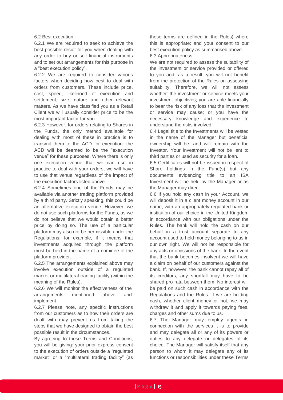#### 6.2 Best execution

6.2.1 We are required to seek to achieve the best possible result for you when dealing with any order to buy or sell financial instruments and to set out arrangements for this purpose in a "best execution policy".

6.2.2 We are required to consider various factors when deciding how best to deal with orders from customers. These include price, cost, speed, likelihood of execution and settlement, size, nature and other relevant matters. As we have classified you as a Retail Client we will usually consider price to be the most important factor for you.

6.2.3 However, for orders relating to Shares in the Funds, the only method available for dealing with most of these in practice is to transmit them to the ACD for execution: the ACD will be deemed to be the "execution venue" for these purposes. Where there is only one execution venue that we can use in practice to deal with your orders, we will have to use that venue regardless of the impact of the execution factors listed above.

6.2.4 Sometimes one of the Funds may be available via another trading platform provided by a third party. Strictly speaking, this could be an alternative execution venue. However, we do not use such platforms for the Funds, as we do not believe that we would obtain a better price by doing so. The use of a particular platform may also not be permissible under the Regulations; for example, if it means that investments acquired through the platform must be held in the name of a nominee of the platform provider.

6.2.5 The arrangements explained above may involve execution outside of a regulated market or multilateral trading facility (within the meaning of the Rules).

6.2.6 We will monitor the effectiveness of the arrangements mentioned above and implement.

6.2.7 Please note, any specific instructions from our customers as to how their orders are dealt with may prevent us from taking the steps that we have designed to obtain the best possible result in the circumstances.

By agreeing to these Terms and Conditions, you will be giving: your prior express consent to the execution of orders outside a "regulated market" or a "multilateral trading facility" (as

those terms are defined in the Rules) where this is appropriate; and your consent to our best execution policy as summarised above.

6.3 Appropriateness

We are not required to assess the suitability of the investment or service provided or offered to you and, as a result, you will not benefit from the protection of the Rules on assessing suitability. Therefore, we will not assess whether: the investment or service meets your investment objectives; you are able financially to bear the risk of any loss that the investment or service may cause; or you have the necessary knowledge and experience to understand the risks involved.

6.4 Legal title to the Investments will be vested in the name of the Manager but beneficial ownership will be, and will remain with the Investor. Your investment will not be lent to third parties or used as security for a loan.

6.5 Certificates will not be issued in respect of Share holdings in the Fund(s) but any documents evidencing title to an ISA Investment will be held by the Manager or as the Manager may direct.

6.6 If you hold any cash in your Account, we will deposit it in a client money account in our name, with an appropriately regulated bank or institution of our choice in the United Kingdom in accordance with our obligations under the Rules. The bank will hold the cash on our behalf in a trust account separate to any account used to hold money belonging to us in our own right. We will not be responsible for any acts or omissions of the bank. In the event that the bank becomes insolvent we will have a claim on behalf of our customers against the bank. If, however, the bank cannot repay all of its creditors, any shortfall may have to be shared pro rata between them. No interest will be paid on such cash in accordance with the Regulations and the Rules. If we are holding cash, whether client money or not, we may withdraw it and apply it towards paying fees, charges and other sums due to us.

6.7 The Manager may employ agents in connection with the services it is to provide and may delegate all or any of its powers or duties to any delegate or delegates of its choice. The Manager will satisfy itself that any person to whom it may delegate any of its functions or responsibilities under these Terms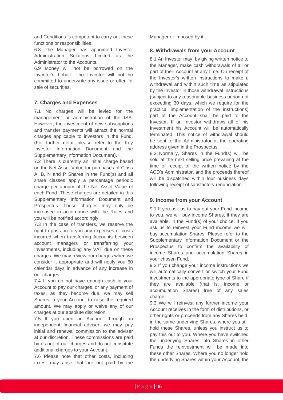and Conditions is competent to carry out these functions or responsibilities.

6.8 The Manager has appointed Investor Administration Solutions Limited as the Administrator to the Accounts.

6.9 Money will not be borrowed on the Investor's behalf. The Investor will not be committed to underwrite any issue or offer for sale of securities.

# **7. Charges and Expenses**

7.1 No charges will be levied for the management or administration of the ISA. However, the investment of new subscriptions and transfer payments will attract the normal charges applicable to investors in the Fund. (For further detail please refer to the Key Investor Information Document and the Supplementary Information Document).

7.2 There is currently an initial charge based on the Net Asset Value for purchases of Class A, B, N and P Shares in the Fund(s) and all share classes apply a percentage periodic charge per annum of the Net Asset Value of each Fund. These charges are detailed in this Supplementary Information Document and Prospectus. These charges may only be increased in accordance with the Rules and you will be notified accordingly.

7.3 In the case of transfers, we reserve the right to pass on to you any expenses or costs incurred when transferring Accounts between account managers or transferring your Investments, including any VAT due on these charges. We may review our charges when we consider it appropriate and will notify you 60 calendar days in advance of any increase in our charges.

7.4 If you do not have enough cash in your Account to pay our charges, or any payment of taxes, as they become due, we may sell Shares in your Account to raise the required amount. We may apply or waive any of our charges at our absolute discretion.

7.5 If you open an Account through an independent financial adviser, we may pay initial and renewal commission to the adviser at our discretion. These commissions are paid by us out of our charges and do not constitute additional charges to your Account.

7.6 Please note that other costs, including taxes, may arise that are not paid by the Manager or imposed by it.

# **8. Withdrawals from your Account**

8.1 An Investor may, by giving written notice to the Manager, make cash withdrawals of all or part of their Account at any time. On receipt of the Investor's written instructions to make a withdrawal and within such time as stipulated by the Investor in those withdrawal instructions (subject to any reasonable business period not exceeding 30 days, which we require for the practical implementation of the instructions) part of the Account shall be paid to the Investor. If an Investor withdraws all of his Investment his Account will be automatically terminated. This notice of withdrawal should be sent to the Administrator at the operating address given in the Prospectus.

8.2 Normally, Shares in the Fund(s) will be sold at the next selling price prevailing at the time of receipt of the written notice by the ACD's Administrator, and the proceeds thereof will be dispatched within four business days following receipt of satisfactory renunciation.

# **9. Income from your Account**

9.1 If you ask us to pay out your Fund income to you, we will buy income Shares, if they are available, in the Fund(s) of your choice. If you ask us to reinvest your Fund income we will buy accumulation Shares. Please refer to the Supplementary Information Document or the Prospectus to confirm the availability of income Shares and accumulation Shares in your chosen Fund.

9.2 If you change your income instructions we will automatically convert or switch your Fund investments to the appropriate type of Share if they are available (that is, income or accumulation Shares) free of any sales charge.

9.3 We will reinvest any further income your Account receives in the form of distributions, or other rights or proceeds from any Shares held, in the same underlying Shares, where you still hold these Shares, unless you instruct us to pay this out to you. Where you have switched the underlying Shares into Shares in other Funds the reinvestment will be made into these other Shares. Where you no longer hold the underlying Shares within your Account, the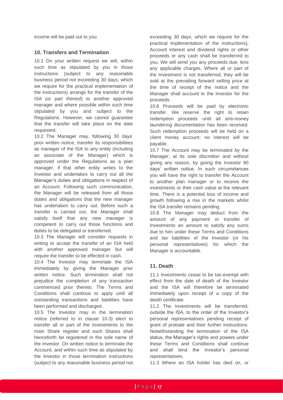income will be paid out to you.

# **10. Transfers and Termination**

10.1 On your written request we will, within such time as stipulated by you in those instructions (subject to any reasonable business period not exceeding 30 days, which we require for the practical implementation of the instructions) arrange for the transfer of the ISA (or part thereof) to another approved manager and where possible within such time stipulated by you and subject to the Regulations. However, we cannot guarantee that the transfer will take place on the date requested.

10.2 The Manager may, following 30 days' prior written notice, transfer its responsibilities as manager of the ISA to any entity (including an associate of the Manager) which is approved under the Regulations as a plan manager, if that other entity writes to the Investor and undertakes to carry out all the Manager's duties and obligations in respect of an Account. Following such communication, the Manager will be released from all those duties and obligations that the new manager has undertaken to carry out. Before such a transfer is carried out, the Manager shall satisfy itself that any new manager is competent to carry out those functions and duties to be delegated or transferred.

10.3 The Manager will consider requests in writing to accept the transfer of an ISA held with another approved manager but will require the transfer to be effected in cash.

10.4 The Investor may terminate the ISA immediately by giving the Manager prior written notice. Such termination shall not prejudice the completion of any transaction commenced prior thereto. The Terms and Conditions shall continue to apply until all outstanding transactions and liabilities have been performed and discharged.

10.5 The Investor may in the termination notice (referred to in clause 10.3) elect to transfer all or part of the Investments to the main Share register and such Shares shall henceforth be registered in the sole name of the Investor. On written notice to terminate the Account, and within such time as stipulated by the Investor in those termination instructions (subject to any reasonable business period not

exceeding 30 days, which we require for the practical implementation of the instructions), Account interest and dividend rights or other proceeds or any cash shall be transferred to you. We will send you any proceeds due, less any applicable charges. Where all or part of the Investment is not transferred, they will be sold at the prevailing forward selling price at the time of receipt of the notice and the Manager shall account to the Investor for the proceeds.

10.6 Proceeds will be paid by electronic transfer. We reserve the right to retain redemption proceeds until all anti-money laundering documentation has been received. Such redemption proceeds will be held on a client money account: no interest will be payable.

10.7 The Account may be terminated by the Manager, at its sole discretion and without giving any reason, by giving the Investor 90 days' written notice. In such circumstances you will have the right to transfer the Account to another plan manager or to receive the investments or their cash value at the relevant time. There is a potential loss of income and growth following a rise in the markets whilst the ISA transfer remains pending.

10.8 The Manager may deduct from the amount of any payment or transfer of Investments an amount to satisfy any sums due to him under these Terms and Conditions and tax liabilities of the Investor (or his personal representatives) for which the Manager is accountable.

# **11. Death**

11.1 Investments cease to be tax-exempt with effect from the date of death of the Investor and the ISA will therefore be terminated immediately upon receipt of a copy of the death certificate.

11.2 The Investments will be transferred, outside the ISA, to the order of the Investor's personal representatives pending receipt of grant of probate and their further instructions. Notwithstanding the termination of the ISA status, the Manager's rights and powers under these Terms and Conditions shall continue and shall bind the Investor's personal representatives.

11.3 Where an ISA holder has died on, or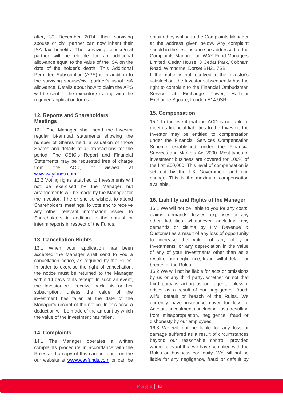after, 3rd December 2014, their surviving spouse or civil partner can now inherit their ISA tax benefits. The surviving spouse/civil partner will be eligible for an additional allowance equal to the value of the ISA on the date of the holder's death. This Additional Permitted Subscription (APS) is in addition to the surviving spouse/civil partner's usual ISA allowance. Details about how to claim the APS will be sent to the executor(s) along with the required application forms.

# **12. Reports and Shareholders' Meetings**

12.1 The Manager shall send the Investor regular bi-annual statements showing the number of Shares held, a valuation of those Shares and details of all transactions for the period. The OEIC's Report and Financial Statements may be requested free of charge from the ACD, or viewed at [www.wayfunds.com.](http://www.wayfunds.com/)

12.2 Voting rights attached to Investments will not be exercised by the Manager but arrangements will be made by the Manager for the Investor, if he or she so wishes, to attend Shareholders' meetings, to vote and to receive any other relevant information issued to Shareholders in addition to the annual or interim reports in respect of the Funds.

# **13. Cancellation Rights**

13.1 When your application has been accepted the Manager shall send to you a cancellation notice, as required by the Rules. In order to exercise the right of cancellation, the notice must be returned to the Manager within 14 days of its receipt. In such an event, the Investor will receive back his or her subscription, unless the value of the investment has fallen at the date of the Manager's receipt of the notice. In this case a deduction will be made of the amount by which the value of the investment has fallen.

# **14. Complaints**

14.1 The Manager operates a written complaints procedure in accordance with the Rules and a copy of this can be found on the our website at [www.wayfunds.com](http://www.wayfunds.com/) or can be obtained by writing to the Complaints Manager at the address given below. Any complaint should in the first instance be addressed to the Complaints Manager at: WAY Fund Managers Limited, Cedar House, 3 Cedar Park, Cobham Road, Wimborne, Dorset BH21 7SB.

If the matter is not resolved to the Investor's satisfaction, the Investor subsequently has the right to complain to the Financial Ombudsman Service at Exchange Tower, Harbour Exchange Square, London E14 9SR.

# **15. Compensation**

15.1 In the event that the ACD is not able to meet its financial liabilities to the Investor, the Investor may be entitled to compensation under the Financial Services Compensation Scheme established under the Financial Services and Markets Act 2000. Most types of investment business are covered for 100% of the first £50,000. This level of compensation is set out by the UK Government and can change. This is the maximum compensation available.

# **16. Liability and Rights of the Manager**

16.1 We will not be liable to you for any costs, claims, demands, losses, expenses or any other liabilities whatsoever (including any demands or claims by HM Revenue & Customs) as a result of any loss of opportunity to increase the value of any of your Investments, or any depreciation in the value of any of your Investments other than as a result of our negligence, fraud, wilful default or breach of the Rules.

16.2 We will not be liable for acts or omissions by us or any third party, whether or not that third party is acting as our agent, unless it arises as a result of our negligence, fraud, wilful default or breach of the Rules. We currently have insurance cover for loss of Account investments including loss resulting from misappropriation, negligence, fraud or dishonesty by our employees.

16.3 We will not be liable for any loss or damage suffered as a result of circumstances beyond our reasonable control, provided where relevant that we have complied with the Rules on business continuity. We will not be liable for any negligence, fraud or default by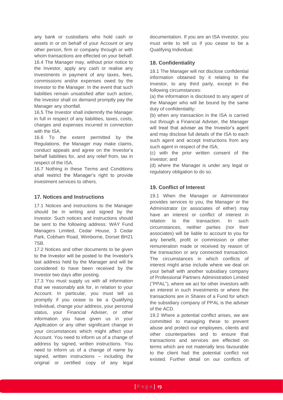any bank or custodians who hold cash or assets in or on behalf of your Account or any other person, firm or company through or with whom transactions are effected on your behalf. 16.4 The Manager may, without prior notice to the Investor, apply any cash or realise any Investments in payment of any taxes, fees, commissions and/or expenses owed by the Investor to the Manager. In the event that such liabilities remain unsatisfied after such action, the Investor shall on demand promptly pay the Manager any shortfall.

16.5 The Investor shall indemnify the Manager in full in respect of any liabilities, taxes, costs, charges and expenses incurred in connection with the ISA.

16.6 To the extent permitted by the Regulations, the Manager may make claims, conduct appeals and agree on the Investor's behalf liabilities for, and any relief from, tax in respect of the ISA.

16.7 Nothing in these Terms and Conditions shall restrict the Manager's right to provide investment services to others.

# **17. Notices and Instructions**

17.1 Notices and instructions to the Manager should be in writing and signed by the Investor. Such notices and instructions should be sent to the following address: WAY Fund Managers Limited, Cedar House, 3 Cedar Park, Cobham Road, Wimborne, Dorset BH21 7SB.

17.2 Notices and other documents to be given to the Investor will be posted to the Investor's last address held by the Manager and will be considered to have been received by the Investor two days after posting.

17.3 You must supply us with all information that we reasonably ask for, in relation to your Account. In particular, you must tell us promptly if you cease to be a Qualifying Individual, change your address, your personal status, your Financial Adviser, or other information you have given us in your Application or any other significant change in your circumstances which might affect your Account. You need to inform us of a change of address by signed, written instructions. You need to inform us of a change of name by signed, written instructions – including the original or certified copy of any legal

documentation. If you are an ISA investor, you must write to tell us if you cease to be a Qualifying Individual.

# **18. Confidentiality**

18.1 The Manager will not disclose confidential information obtained by it relating to the Investor, to any third party, except in the following circumstances:

(a) the information is disclosed to any agent of the Manager who will be bound by the same duty of confidentiality;

(b) when any transaction in the ISA is carried out through a Financial Adviser, the Manager will treat that adviser as the Investor's agent and may disclose full details of the ISA to each such agent and accept instructions from any such agent in respect of the ISA;

(c) with the prior written consent of the Investor; and

(d) where the Manager is under any legal or regulatory obligation to do so.

# **19. Conflict of Interest**

19.1 When the Manager or Administrator provides services to you, the Manager or the Administrator (or associates of either) may have an interest or conflict of interest in relation to the transaction. In such circumstances, neither parties (nor their associates) will be liable to account to you for any benefit, profit or commission or other remuneration made or received by reason of the transaction or any connected transaction. The circumstances in which conflicts of interest might arise include where we deal on your behalf with another subsidiary company of Professional Partners Administration Limited ("PPAL"), where we act for other investors with an interest in such investments or where the transactions are in Shares of a Fund for which the subsidiary company of PPAL is the adviser of the ACD.

19.2 Where a potential conflict arises, we are committed to managing these to prevent abuse and protect our employees, clients and other counterparties and to ensure that transactions and services are effected on terms which are not materially less favourable to the client had the potential conflict not existed. Further detail on our conflicts of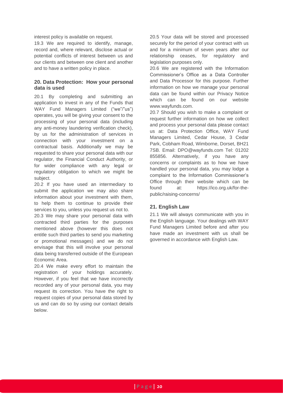interest policy is available on request.

19.3 We are required to identify, manage, record and, where relevant, disclose actual or potential conflicts of interest between us and our clients and between one client and another and to have a written policy in place.

# **20. Data Protection: How your personal data is used**

20.1 By completing and submitting an application to invest in any of the Funds that WAY Fund Managers Limited ("we"/"us") operates, you will be giving your consent to the processing of your personal data (including any anti-money laundering verification check), by us for the administration of services in connection with your investment on a contractual basis. Additionally we may be requested to share your personal data with our regulator, the Financial Conduct Authority, or for wider compliance with any legal or regulatory obligation to which we might be subject.

20.2 If you have used an intermediary to submit the application we may also share information about your investment with them, to help them to continue to provide their services to you, unless you request us not to.

20.3 We may share your personal data with contracted third parties for the purposes mentioned above (however this does not entitle such third parties to send you marketing or promotional messages) and we do not envisage that this will involve your personal data being transferred outside of the European Economic Area.

20.4 We make every effort to maintain the registration of your holdings accurately. However, if you feel that we have incorrectly recorded any of your personal data, you may request its correction. You have the right to request copies of your personal data stored by us and can do so by using our contact details below.

20.5 Your data will be stored and processed securely for the period of your contract with us and for a minimum of seven years after our relationship ceases, for regulatory and legislation purposes only.

20.6 We are registered with the Information Commissioner's Office as a Data Controller and Data Processor for this purpose. Further information on how we manage your personal data can be found within our Privacy Notice which can be found on our website [www.wayfunds.com.](http://www.wayfunds.com/)

20.7 Should you wish to make a complaint or request further information on how we collect and process your personal data please contact us at: Data Protection Office, WAY Fund Managers Limited, Cedar House, 3 Cedar Park, Cobham Road, Wimborne, Dorset, BH21 7SB. Email: [DPO@wayfunds.com](mailto:DPO@wayfunds.com) Tel: 01202 855856. Alternatively, if you have any concerns or complaints as to how we have handled your personal data, you may lodge a complaint to the Information Commissioner's Office through their website which can be found at: [https://ico.org.uk/for-the](https://ico.org.uk/for-the-public/raising-concerns/)[public/raising-concerns/](https://ico.org.uk/for-the-public/raising-concerns/)

# **21. English Law**

21.1 We will always communicate with you in the English language. Your dealings with WAY Fund Managers Limited before and after you have made an investment with us shall be governed in accordance with English Law.